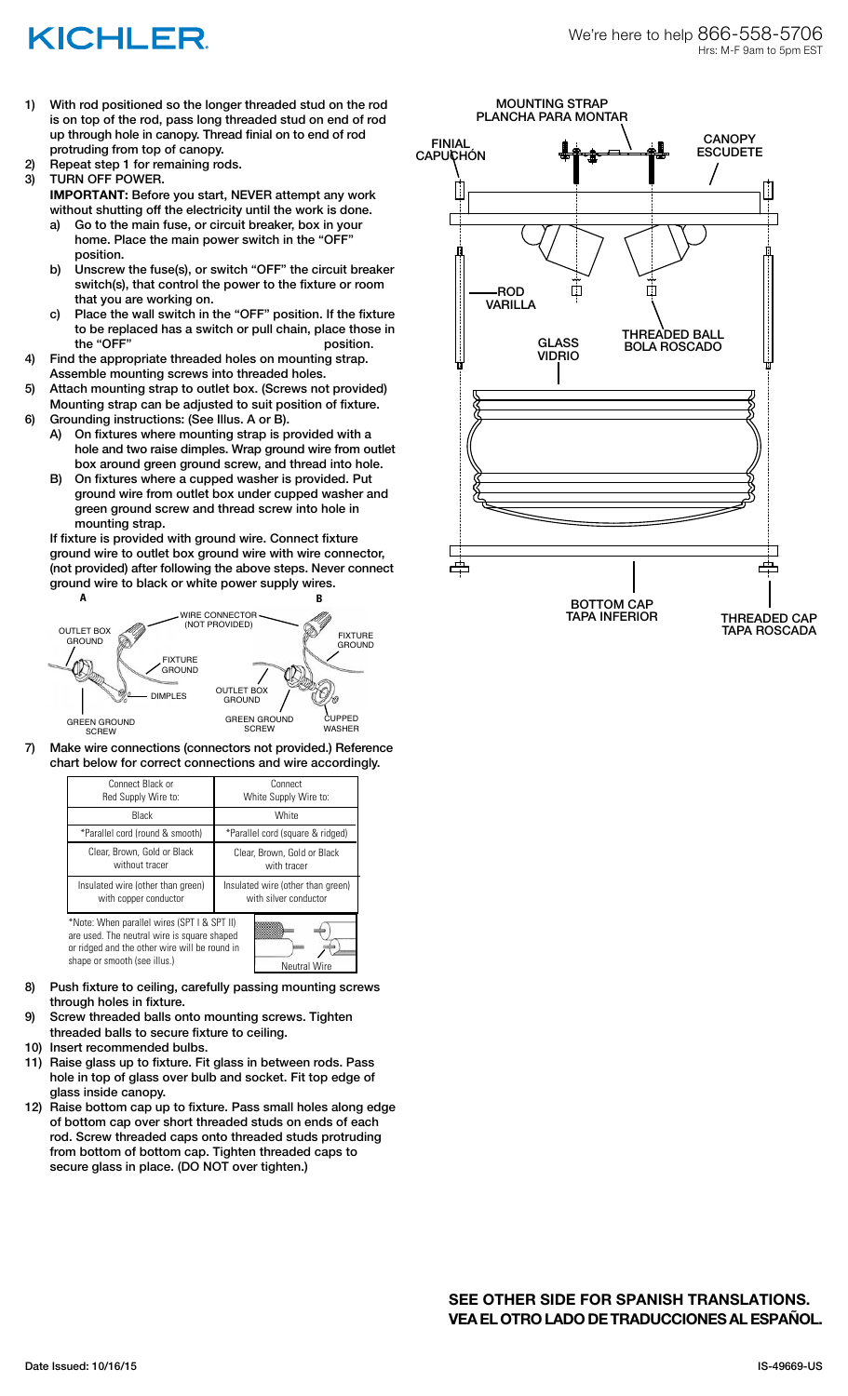## KICHLER

- 1) With rod positioned so the longer threaded stud on the rod is on top of the rod, pass long threaded stud on end of rod up through hole in canopy. Thread finial on to end of rod protruding from top of canopy.
- 2) Repeat step 1 for remaining rods.
- 3) TURN OFF POWER. **IMPORTANT:** Before you start, NEVER attempt any work
	- without shutting off the electricity until the work is done. a) Go to the main fuse, or circuit breaker, box in your home. Place the main power switch in the "OFF" position.
	- b) Unscrew the fuse(s), or switch "OFF" the circuit breaker switch(s), that control the power to the fixture or room that you are working on.
- c) Place the wall switch in the "OFF" position. If the fixture to be replaced has a switch or pull chain, place those in the "OFF" position.<br>4) Find the appropriate threaded holes on mounting strap.
- Find the appropriate threaded holes on mounting strap. Assemble mounting screws into threaded holes.
- 5) Attach mounting strap to outlet box. (Screws not provided) Mounting strap can be adjusted to suit position of fixture.
- 6) Grounding instructions: (See Illus. A or B).
	- A) On fixtures where mounting strap is provided with a hole and two raise dimples. Wrap ground wire from outlet box around green ground screw, and thread into hole.
	- B) On fixtures where a cupped washer is provided. Put ground wire from outlet box under cupped washer and green ground screw and thread screw into hole in mounting strap.

If fixture is provided with ground wire. Connect fixture ground wire to outlet box ground wire with wire connector, (not provided) after following the above steps. Never connect ground wire to black or white power supply wires.



7) Make wire connections (connectors not provided.) Reference chart below for correct connections and wire accordingly.

| Connect Black or<br>Red Supply Wire to:                                                                                                                                                            | Connect<br>White Supply Wire to:                           |
|----------------------------------------------------------------------------------------------------------------------------------------------------------------------------------------------------|------------------------------------------------------------|
| <b>Black</b>                                                                                                                                                                                       | White                                                      |
| *Parallel cord (round & smooth)                                                                                                                                                                    | *Parallel cord (square & ridged)                           |
| Clear, Brown, Gold or Black<br>without tracer                                                                                                                                                      | Clear, Brown, Gold or Black<br>with tracer                 |
| Insulated wire (other than green)<br>with copper conductor                                                                                                                                         | Insulated wire (other than green)<br>with silver conductor |
| *Note: When parallel wires (SPT I & SPT II)<br>are used. The neutral wire is square shaped<br>or ridged and the other wire will be round in<br>shape or smooth (see illus.)<br><b>Neutral Wire</b> |                                                            |

- 8) Push fixture to ceiling, carefully passing mounting screws through holes in fixture.
- 9) Screw threaded balls onto mounting screws. Tighten threaded balls to secure fixture to ceiling.
- 10) Insert recommended bulbs.
- 11) Raise glass up to fixture. Fit glass in between rods. Pass hole in top of glass over bulb and socket. Fit top edge of glass inside canopy.
- 12) Raise bottom cap up to fixture. Pass small holes along edge of bottom cap over short threaded studs on ends of each rod. Screw threaded caps onto threaded studs protruding from bottom of bottom cap. Tighten threaded caps to secure glass in place. (DO NOT over tighten.)

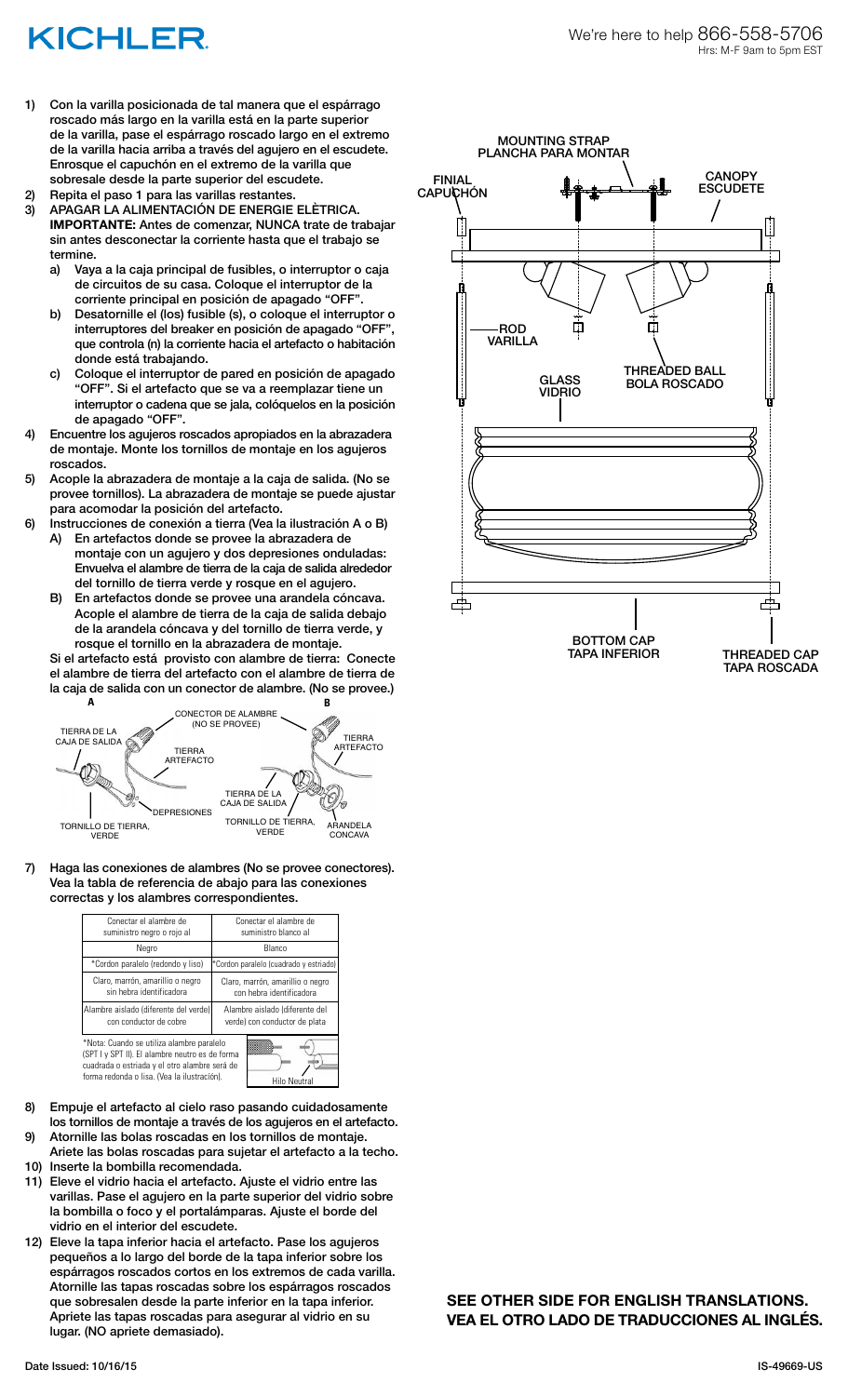## KICHLER

1) Con la varilla posicionada de tal manera que el espárrago roscado más largo en la varilla está en la parte superior de la varilla, pase el espárrago roscado largo en el extremo de la varilla hacia arriba a través del agujero en el escudete. Enrosque el capuchón en el extremo de la varilla que sobresale desde la parte superior del escudete.

Repita el paso 1 para las varillas restantes.

- 3) APAGAR LA ALIMENTACIÓN DE ENERGIE ELÈTRICA. **IMPORTANTE:** Antes de comenzar, NUNCA trate de trabajar sin antes desconectar la corriente hasta que el trabajo se termine.
	- a) Vaya a la caja principal de fusibles, o interruptor o caja de circuitos de su casa. Coloque el interruptor de la corriente principal en posición de apagado "OFF".
	- b) Desatornille el (los) fusible (s), o coloque el interruptor o interruptores del breaker en posición de apagado "OFF", que controla (n) la corriente hacia el artefacto o habitación donde está trabajando.
	- c) Coloque el interruptor de pared en posición de apagado "OFF". Si el artefacto que se va a reemplazar tiene un interruptor o cadena que se jala, colóquelos en la posición de apagado "OFF".
- 4) Encuentre los agujeros roscados apropiados en la abrazadera de montaje. Monte los tornillos de montaje en los agujeros roscados.
- 5) Acople la abrazadera de montaje a la caja de salida. (No se provee tornillos). La abrazadera de montaje se puede ajustar para acomodar la posición del artefacto.
- 6) Instrucciones de conexión a tierra (Vea la ilustración A o B) A) En artefactos donde se provee la abrazadera de montaje con un agujero y dos depresiones onduladas: Envuelva el alambre de tierra de la caja de salida alrededor
	- del tornillo de tierra verde y rosque en el agujero. B) En artefactos donde se provee una arandela cóncava. Acople el alambre de tierra de la caja de salida debajo de la arandela cóncava y del tornillo de tierra verde, y rosque el tornillo en la abrazadera de montaje.

Si el artefacto está provisto con alambre de tierra: Conecte el alambre de tierra del artefacto con el alambre de tierra de la caja de salida con un conector de alambre. (No se provee.)<br>A



7) Haga las conexiones de alambres (No se provee conectores). Vea la tabla de referencia de abajo para las conexiones correctas y los alambres correspondientes.

| Conectar el alambre de<br>suministro negro o rojo al                                                                                                                                         | Conectar el alambre de<br>suministro blanco al                  |
|----------------------------------------------------------------------------------------------------------------------------------------------------------------------------------------------|-----------------------------------------------------------------|
| Negro                                                                                                                                                                                        | Blanco                                                          |
| *Cordon paralelo (redondo y liso)                                                                                                                                                            | *Cordon paralelo (cuadrado y estriado)                          |
| Claro, marrón, amarillio o negro<br>sin hebra identificadora                                                                                                                                 | Claro, marrón, amarillio o negro<br>con hebra identificadora    |
| Alambre aislado (diferente del verde)<br>con conductor de cobre                                                                                                                              | Alambre aislado (diferente del<br>verde) con conductor de plata |
| *Nota: Cuando se utiliza alambre paralelo<br>(SPT I y SPT II). El alambre neutro es de forma<br>cuadrada o estriada y el otro alambre será de<br>forma redonda o lisa. (Vea la ilustracíón). | <b>Hilo Neutral</b>                                             |

- 8) Empuje el artefacto al cielo raso pasando cuidadosamente los tornillos de montaje a través de los agujeros en el artefacto.
- 9) Atornille las bolas roscadas en los tornillos de montaje. Ariete las bolas roscadas para sujetar el artefacto a la techo.
- 10) Inserte la bombilla recomendada.
- 11) Eleve el vidrio hacia el artefacto. Ajuste el vidrio entre las varillas. Pase el agujero en la parte superior del vidrio sobre la bombilla o foco y el portalámparas. Ajuste el borde del vidrio en el interior del escudete.
- 12) Eleve la tapa inferior hacia el artefacto. Pase los agujeros pequeños a lo largo del borde de la tapa inferior sobre los espárragos roscados cortos en los extremos de cada varilla. Atornille las tapas roscadas sobre los espárragos roscados que sobresalen desde la parte inferior en la tapa inferior. Apriete las tapas roscadas para asegurar al vidrio en su lugar. (NO apriete demasiado).



**SEE OTHER SIDE FOR ENGLISH TRANSLATIONS. VEA EL OTRO LADO DE TRADUCCIONES AL INGLÉS.**